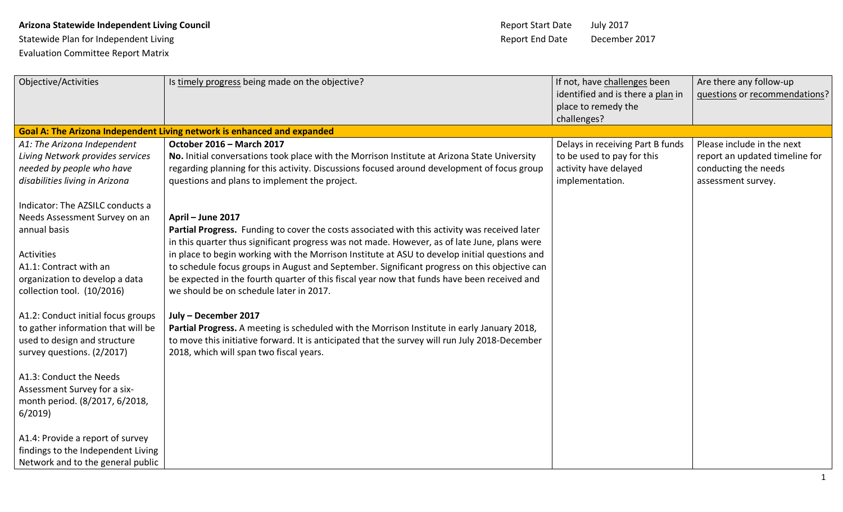## **Arizona Statewide Independent Living Council** Arizonal Report Start Date July 2017

Statewide Plan for Independent Living and Statewide Plan for Independent Living and Date December 2017 Evaluation Committee Report Matrix

| Objective/Activities                                                                                                           | Is timely progress being made on the objective?                                                                                                                                                                                                                                  | If not, have challenges been<br>identified and is there a plan in<br>place to remedy the<br>challenges?    | Are there any follow-up<br>questions or recommendations?                                                   |
|--------------------------------------------------------------------------------------------------------------------------------|----------------------------------------------------------------------------------------------------------------------------------------------------------------------------------------------------------------------------------------------------------------------------------|------------------------------------------------------------------------------------------------------------|------------------------------------------------------------------------------------------------------------|
|                                                                                                                                | Goal A: The Arizona Independent Living network is enhanced and expanded                                                                                                                                                                                                          |                                                                                                            |                                                                                                            |
| A1: The Arizona Independent<br>Living Network provides services<br>needed by people who have<br>disabilities living in Arizona | <b>October 2016 - March 2017</b><br>No. Initial conversations took place with the Morrison Institute at Arizona State University<br>regarding planning for this activity. Discussions focused around development of focus group<br>questions and plans to implement the project. | Delays in receiving Part B funds<br>to be used to pay for this<br>activity have delayed<br>implementation. | Please include in the next<br>report an updated timeline for<br>conducting the needs<br>assessment survey. |
| Indicator: The AZSILC conducts a                                                                                               |                                                                                                                                                                                                                                                                                  |                                                                                                            |                                                                                                            |
| Needs Assessment Survey on an                                                                                                  | April - June 2017                                                                                                                                                                                                                                                                |                                                                                                            |                                                                                                            |
| annual basis                                                                                                                   | Partial Progress. Funding to cover the costs associated with this activity was received later<br>in this quarter thus significant progress was not made. However, as of late June, plans were                                                                                    |                                                                                                            |                                                                                                            |
| Activities                                                                                                                     | in place to begin working with the Morrison Institute at ASU to develop initial questions and                                                                                                                                                                                    |                                                                                                            |                                                                                                            |
| A1.1: Contract with an                                                                                                         | to schedule focus groups in August and September. Significant progress on this objective can                                                                                                                                                                                     |                                                                                                            |                                                                                                            |
| organization to develop a data<br>collection tool. (10/2016)                                                                   | be expected in the fourth quarter of this fiscal year now that funds have been received and<br>we should be on schedule later in 2017.                                                                                                                                           |                                                                                                            |                                                                                                            |
| A1.2: Conduct initial focus groups                                                                                             | July - December 2017                                                                                                                                                                                                                                                             |                                                                                                            |                                                                                                            |
| to gather information that will be                                                                                             | Partial Progress. A meeting is scheduled with the Morrison Institute in early January 2018,                                                                                                                                                                                      |                                                                                                            |                                                                                                            |
| used to design and structure<br>survey questions. (2/2017)                                                                     | to move this initiative forward. It is anticipated that the survey will run July 2018-December<br>2018, which will span two fiscal years.                                                                                                                                        |                                                                                                            |                                                                                                            |
| A1.3: Conduct the Needs                                                                                                        |                                                                                                                                                                                                                                                                                  |                                                                                                            |                                                                                                            |
| Assessment Survey for a six-<br>month period. (8/2017, 6/2018,                                                                 |                                                                                                                                                                                                                                                                                  |                                                                                                            |                                                                                                            |
| 6/2019                                                                                                                         |                                                                                                                                                                                                                                                                                  |                                                                                                            |                                                                                                            |
| A1.4: Provide a report of survey                                                                                               |                                                                                                                                                                                                                                                                                  |                                                                                                            |                                                                                                            |
| findings to the Independent Living                                                                                             |                                                                                                                                                                                                                                                                                  |                                                                                                            |                                                                                                            |
| Network and to the general public                                                                                              |                                                                                                                                                                                                                                                                                  |                                                                                                            |                                                                                                            |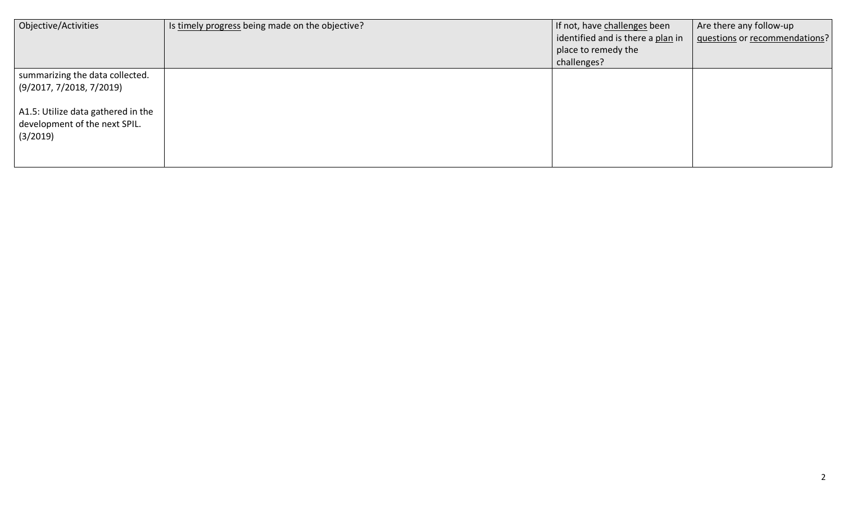| Objective/Activities               | Is timely progress being made on the objective? | If not, have challenges been      | Are there any follow-up       |
|------------------------------------|-------------------------------------------------|-----------------------------------|-------------------------------|
|                                    |                                                 | identified and is there a plan in | questions or recommendations? |
|                                    |                                                 | place to remedy the               |                               |
|                                    |                                                 | challenges?                       |                               |
| summarizing the data collected.    |                                                 |                                   |                               |
| (9/2017, 7/2018, 7/2019)           |                                                 |                                   |                               |
|                                    |                                                 |                                   |                               |
| A1.5: Utilize data gathered in the |                                                 |                                   |                               |
| development of the next SPIL.      |                                                 |                                   |                               |
| (3/2019)                           |                                                 |                                   |                               |
|                                    |                                                 |                                   |                               |
|                                    |                                                 |                                   |                               |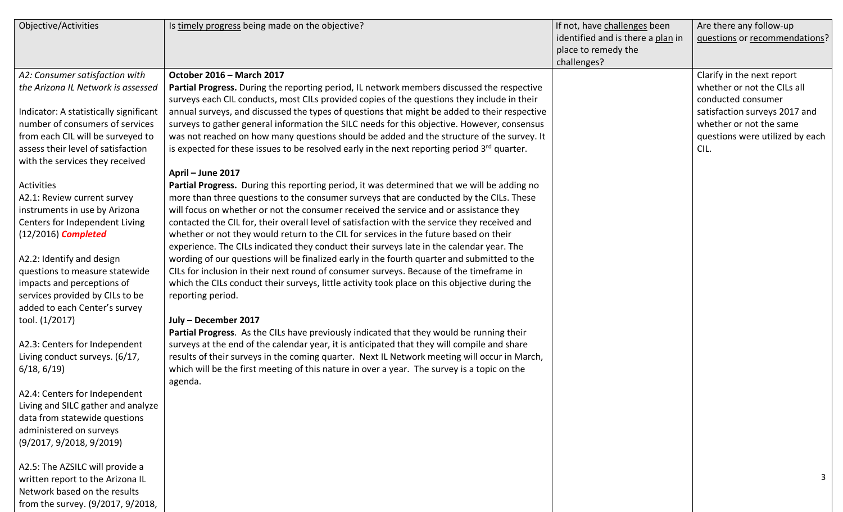| Objective/Activities                   | Is timely progress being made on the objective?                                               | If not, have challenges been      | Are there any follow-up         |
|----------------------------------------|-----------------------------------------------------------------------------------------------|-----------------------------------|---------------------------------|
|                                        |                                                                                               | identified and is there a plan in | questions or recommendations?   |
|                                        |                                                                                               | place to remedy the               |                                 |
|                                        |                                                                                               | challenges?                       |                                 |
| A2: Consumer satisfaction with         | October 2016 - March 2017                                                                     |                                   | Clarify in the next report      |
| the Arizona IL Network is assessed     | Partial Progress. During the reporting period, IL network members discussed the respective    |                                   | whether or not the CILs all     |
|                                        | surveys each CIL conducts, most CILs provided copies of the questions they include in their   |                                   | conducted consumer              |
| Indicator: A statistically significant | annual surveys, and discussed the types of questions that might be added to their respective  |                                   | satisfaction surveys 2017 and   |
| number of consumers of services        | surveys to gather general information the SILC needs for this objective. However, consensus   |                                   | whether or not the same         |
| from each CIL will be surveyed to      | was not reached on how many questions should be added and the structure of the survey. It     |                                   | questions were utilized by each |
| assess their level of satisfaction     | is expected for these issues to be resolved early in the next reporting period 3rd quarter.   |                                   | CIL.                            |
| with the services they received        |                                                                                               |                                   |                                 |
|                                        | April - June 2017                                                                             |                                   |                                 |
| Activities                             | Partial Progress. During this reporting period, it was determined that we will be adding no   |                                   |                                 |
| A2.1: Review current survey            | more than three questions to the consumer surveys that are conducted by the CILs. These       |                                   |                                 |
| instruments in use by Arizona          | will focus on whether or not the consumer received the service and or assistance they         |                                   |                                 |
| Centers for Independent Living         | contacted the CIL for, their overall level of satisfaction with the service they received and |                                   |                                 |
| $(12/2016)$ Completed                  | whether or not they would return to the CIL for services in the future based on their         |                                   |                                 |
|                                        | experience. The CILs indicated they conduct their surveys late in the calendar year. The      |                                   |                                 |
| A2.2: Identify and design              | wording of our questions will be finalized early in the fourth quarter and submitted to the   |                                   |                                 |
| questions to measure statewide         | CILs for inclusion in their next round of consumer surveys. Because of the timeframe in       |                                   |                                 |
| impacts and perceptions of             | which the CILs conduct their surveys, little activity took place on this objective during the |                                   |                                 |
| services provided by CILs to be        | reporting period.                                                                             |                                   |                                 |
| added to each Center's survey          |                                                                                               |                                   |                                 |
| tool. (1/2017)                         | July - December 2017                                                                          |                                   |                                 |
|                                        | Partial Progress. As the CILs have previously indicated that they would be running their      |                                   |                                 |
| A2.3: Centers for Independent          | surveys at the end of the calendar year, it is anticipated that they will compile and share   |                                   |                                 |
| Living conduct surveys. (6/17,         | results of their surveys in the coming quarter. Next IL Network meeting will occur in March,  |                                   |                                 |
| 6/18, 6/19                             | which will be the first meeting of this nature in over a year. The survey is a topic on the   |                                   |                                 |
|                                        | agenda.                                                                                       |                                   |                                 |
| A2.4: Centers for Independent          |                                                                                               |                                   |                                 |
| Living and SILC gather and analyze     |                                                                                               |                                   |                                 |
| data from statewide questions          |                                                                                               |                                   |                                 |
| administered on surveys                |                                                                                               |                                   |                                 |
| (9/2017, 9/2018, 9/2019)               |                                                                                               |                                   |                                 |
|                                        |                                                                                               |                                   |                                 |
| A2.5: The AZSILC will provide a        |                                                                                               |                                   |                                 |
| written report to the Arizona IL       |                                                                                               |                                   | 3                               |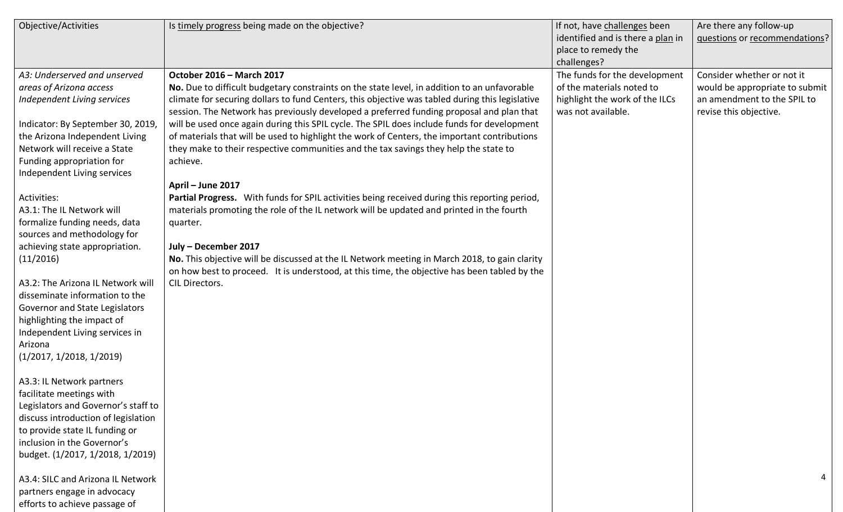| Objective/Activities                | Is timely progress being made on the objective?                                                                                                                                             | If not, have challenges been<br>identified and is there a plan in<br>place to remedy the<br>challenges? | Are there any follow-up<br>questions or recommendations? |
|-------------------------------------|---------------------------------------------------------------------------------------------------------------------------------------------------------------------------------------------|---------------------------------------------------------------------------------------------------------|----------------------------------------------------------|
| A3: Underserved and unserved        | October 2016 - March 2017                                                                                                                                                                   | The funds for the development                                                                           | Consider whether or not it                               |
| areas of Arizona access             | No. Due to difficult budgetary constraints on the state level, in addition to an unfavorable                                                                                                | of the materials noted to                                                                               | would be appropriate to submit                           |
| Independent Living services         | climate for securing dollars to fund Centers, this objective was tabled during this legislative<br>session. The Network has previously developed a preferred funding proposal and plan that | highlight the work of the ILCs<br>was not available.                                                    | an amendment to the SPIL to<br>revise this objective.    |
| Indicator: By September 30, 2019    | will be used once again during this SPIL cycle. The SPIL does include funds for development                                                                                                 |                                                                                                         |                                                          |
| the Arizona Independent Living      | of materials that will be used to highlight the work of Centers, the important contributions                                                                                                |                                                                                                         |                                                          |
| Network will receive a State        | they make to their respective communities and the tax savings they help the state to                                                                                                        |                                                                                                         |                                                          |
| Funding appropriation for           | achieve.                                                                                                                                                                                    |                                                                                                         |                                                          |
| Independent Living services         |                                                                                                                                                                                             |                                                                                                         |                                                          |
|                                     | April - June 2017                                                                                                                                                                           |                                                                                                         |                                                          |
| Activities:                         | Partial Progress. With funds for SPIL activities being received during this reporting period,                                                                                               |                                                                                                         |                                                          |
| A3.1: The IL Network will           | materials promoting the role of the IL network will be updated and printed in the fourth                                                                                                    |                                                                                                         |                                                          |
| formalize funding needs, data       | quarter.                                                                                                                                                                                    |                                                                                                         |                                                          |
| sources and methodology for         |                                                                                                                                                                                             |                                                                                                         |                                                          |
| achieving state appropriation.      | July - December 2017                                                                                                                                                                        |                                                                                                         |                                                          |
| (11/2016)                           | No. This objective will be discussed at the IL Network meeting in March 2018, to gain clarity                                                                                               |                                                                                                         |                                                          |
|                                     | on how best to proceed. It is understood, at this time, the objective has been tabled by the                                                                                                |                                                                                                         |                                                          |
| A3.2: The Arizona IL Network will   | CIL Directors.                                                                                                                                                                              |                                                                                                         |                                                          |
| disseminate information to the      |                                                                                                                                                                                             |                                                                                                         |                                                          |
| Governor and State Legislators      |                                                                                                                                                                                             |                                                                                                         |                                                          |
| highlighting the impact of          |                                                                                                                                                                                             |                                                                                                         |                                                          |
| Independent Living services in      |                                                                                                                                                                                             |                                                                                                         |                                                          |
| Arizona                             |                                                                                                                                                                                             |                                                                                                         |                                                          |
| (1/2017, 1/2018, 1/2019)            |                                                                                                                                                                                             |                                                                                                         |                                                          |
|                                     |                                                                                                                                                                                             |                                                                                                         |                                                          |
| A3.3: IL Network partners           |                                                                                                                                                                                             |                                                                                                         |                                                          |
| facilitate meetings with            |                                                                                                                                                                                             |                                                                                                         |                                                          |
| Legislators and Governor's staff to |                                                                                                                                                                                             |                                                                                                         |                                                          |
| discuss introduction of legislation |                                                                                                                                                                                             |                                                                                                         |                                                          |
| to provide state IL funding or      |                                                                                                                                                                                             |                                                                                                         |                                                          |
| inclusion in the Governor's         |                                                                                                                                                                                             |                                                                                                         |                                                          |
| budget. (1/2017, 1/2018, 1/2019)    |                                                                                                                                                                                             |                                                                                                         |                                                          |
|                                     |                                                                                                                                                                                             |                                                                                                         |                                                          |
| A3.4: SILC and Arizona IL Network   |                                                                                                                                                                                             |                                                                                                         |                                                          |
| partners engage in advocacy         |                                                                                                                                                                                             |                                                                                                         |                                                          |
| efforts to achieve passage of       |                                                                                                                                                                                             |                                                                                                         |                                                          |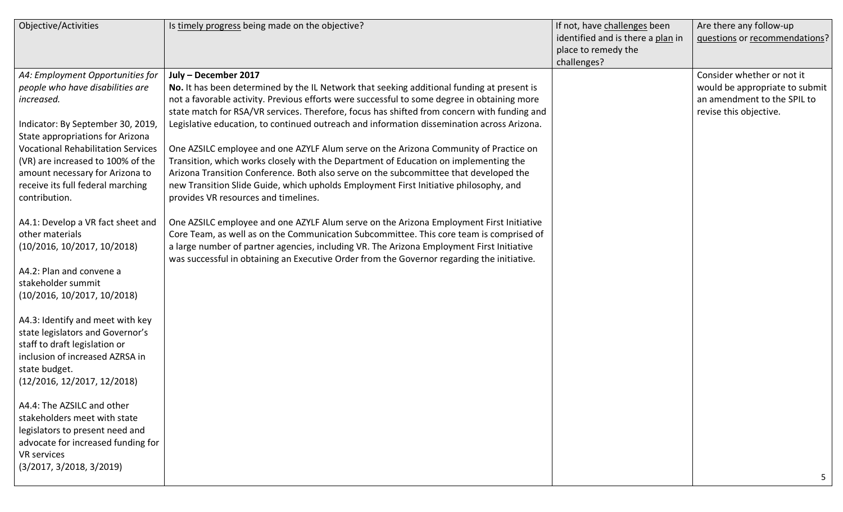| Objective/Activities                                                                                                                                                                                                                                                                                                                   | Is timely progress being made on the objective?                                                                                                                                                                                                                                                                                                                                                                                                                                                                                                                                                                                                                                                                                                                                                                          | If not, have challenges been<br>identified and is there a plan in<br>place to remedy the<br>challenges? | Are there any follow-up<br>questions or recommendations?                                                              |
|----------------------------------------------------------------------------------------------------------------------------------------------------------------------------------------------------------------------------------------------------------------------------------------------------------------------------------------|--------------------------------------------------------------------------------------------------------------------------------------------------------------------------------------------------------------------------------------------------------------------------------------------------------------------------------------------------------------------------------------------------------------------------------------------------------------------------------------------------------------------------------------------------------------------------------------------------------------------------------------------------------------------------------------------------------------------------------------------------------------------------------------------------------------------------|---------------------------------------------------------------------------------------------------------|-----------------------------------------------------------------------------------------------------------------------|
| A4: Employment Opportunities for<br>people who have disabilities are<br>increased.<br>Indicator: By September 30, 2019,<br>State appropriations for Arizona<br><b>Vocational Rehabilitation Services</b><br>(VR) are increased to 100% of the<br>amount necessary for Arizona to<br>receive its full federal marching<br>contribution. | July - December 2017<br>No. It has been determined by the IL Network that seeking additional funding at present is<br>not a favorable activity. Previous efforts were successful to some degree in obtaining more<br>state match for RSA/VR services. Therefore, focus has shifted from concern with funding and<br>Legislative education, to continued outreach and information dissemination across Arizona.<br>One AZSILC employee and one AZYLF Alum serve on the Arizona Community of Practice on<br>Transition, which works closely with the Department of Education on implementing the<br>Arizona Transition Conference. Both also serve on the subcommittee that developed the<br>new Transition Slide Guide, which upholds Employment First Initiative philosophy, and<br>provides VR resources and timelines. |                                                                                                         | Consider whether or not it<br>would be appropriate to submit<br>an amendment to the SPIL to<br>revise this objective. |
| A4.1: Develop a VR fact sheet and<br>other materials<br>(10/2016, 10/2017, 10/2018)<br>A4.2: Plan and convene a<br>stakeholder summit<br>(10/2016, 10/2017, 10/2018)                                                                                                                                                                   | One AZSILC employee and one AZYLF Alum serve on the Arizona Employment First Initiative<br>Core Team, as well as on the Communication Subcommittee. This core team is comprised of<br>a large number of partner agencies, including VR. The Arizona Employment First Initiative<br>was successful in obtaining an Executive Order from the Governor regarding the initiative.                                                                                                                                                                                                                                                                                                                                                                                                                                            |                                                                                                         |                                                                                                                       |
| A4.3: Identify and meet with key<br>state legislators and Governor's<br>staff to draft legislation or<br>inclusion of increased AZRSA in<br>state budget.<br>(12/2016, 12/2017, 12/2018)                                                                                                                                               |                                                                                                                                                                                                                                                                                                                                                                                                                                                                                                                                                                                                                                                                                                                                                                                                                          |                                                                                                         |                                                                                                                       |
| A4.4: The AZSILC and other<br>stakeholders meet with state<br>legislators to present need and<br>advocate for increased funding for<br><b>VR</b> services<br>(3/2017, 3/2018, 3/2019)                                                                                                                                                  |                                                                                                                                                                                                                                                                                                                                                                                                                                                                                                                                                                                                                                                                                                                                                                                                                          |                                                                                                         | 5                                                                                                                     |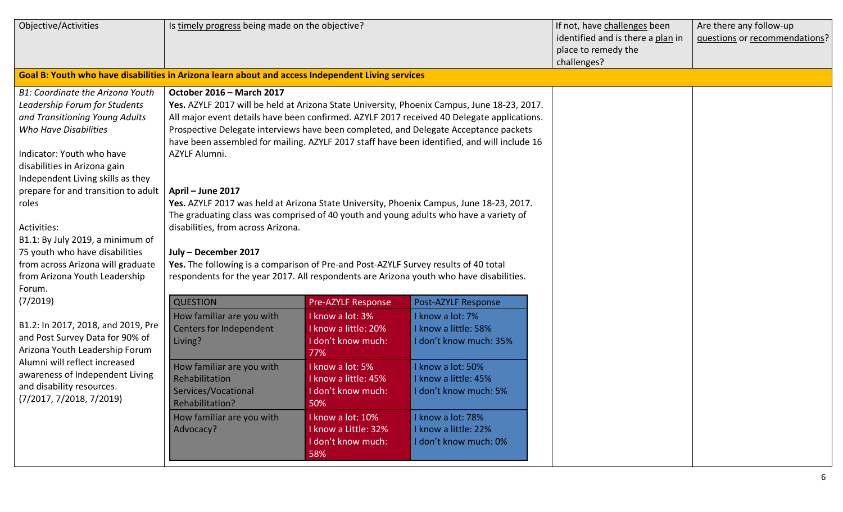| Objective/Activities                                                                                                                                                                                                                                                                                                                                                                                                                                | Is timely progress being made on the objective?                                                                                                                                                                                                                                                                 |                                                                        |                                                                                                                                                                                                                                                                                                                                                                                                                                                                                                                                                                      | If not, have challenges been<br>identified and is there a plan in<br>place to remedy the<br>challenges? | Are there any follow-up<br>questions or recommendations? |
|-----------------------------------------------------------------------------------------------------------------------------------------------------------------------------------------------------------------------------------------------------------------------------------------------------------------------------------------------------------------------------------------------------------------------------------------------------|-----------------------------------------------------------------------------------------------------------------------------------------------------------------------------------------------------------------------------------------------------------------------------------------------------------------|------------------------------------------------------------------------|----------------------------------------------------------------------------------------------------------------------------------------------------------------------------------------------------------------------------------------------------------------------------------------------------------------------------------------------------------------------------------------------------------------------------------------------------------------------------------------------------------------------------------------------------------------------|---------------------------------------------------------------------------------------------------------|----------------------------------------------------------|
| Goal B: Youth who have disabilities in Arizona learn about and access Independent Living services                                                                                                                                                                                                                                                                                                                                                   |                                                                                                                                                                                                                                                                                                                 |                                                                        |                                                                                                                                                                                                                                                                                                                                                                                                                                                                                                                                                                      |                                                                                                         |                                                          |
| B1: Coordinate the Arizona Youth<br>Leadership Forum for Students<br>and Transitioning Young Adults<br>Who Have Disabilities<br>Indicator: Youth who have<br>disabilities in Arizona gain<br>Independent Living skills as they<br>prepare for and transition to adult<br>roles<br>Activities:<br>B1.1: By July 2019, a minimum of<br>75 youth who have disabilities<br>from across Arizona will graduate<br>from Arizona Youth Leadership<br>Forum. | October 2016 - March 2017<br>AZYLF Alumni.<br>April - June 2017<br>disabilities, from across Arizona.<br>July - December 2017<br>Yes. The following is a comparison of Pre-and Post-AZYLF Survey results of 40 total<br>respondents for the year 2017. All respondents are Arizona youth who have disabilities. |                                                                        | Yes. AZYLF 2017 will be held at Arizona State University, Phoenix Campus, June 18-23, 2017.<br>All major event details have been confirmed. AZYLF 2017 received 40 Delegate applications.<br>Prospective Delegate interviews have been completed, and Delegate Acceptance packets<br>have been assembled for mailing. AZYLF 2017 staff have been identified, and will include 16<br>Yes. AZYLF 2017 was held at Arizona State University, Phoenix Campus, June 18-23, 2017.<br>The graduating class was comprised of 40 youth and young adults who have a variety of |                                                                                                         |                                                          |
| (7/2019)                                                                                                                                                                                                                                                                                                                                                                                                                                            | <b>QUESTION</b>                                                                                                                                                                                                                                                                                                 | Pre-AZYLF Response                                                     | Post-AZYLF Response                                                                                                                                                                                                                                                                                                                                                                                                                                                                                                                                                  |                                                                                                         |                                                          |
| B1.2: In 2017, 2018, and 2019, Pre<br>and Post Survey Data for 90% of<br>Arizona Youth Leadership Forum<br>Alumni will reflect increased<br>awareness of Independent Living<br>and disability resources.<br>(7/2017, 7/2018, 7/2019)                                                                                                                                                                                                                | How familiar are you with<br><b>Centers for Independent</b><br>Living?                                                                                                                                                                                                                                          | I know a lot: 3%<br>I know a little: 20%<br>I don't know much:<br>77%  | I know a lot: 7%<br>I know a little: 58%<br>I don't know much: 35%                                                                                                                                                                                                                                                                                                                                                                                                                                                                                                   |                                                                                                         |                                                          |
|                                                                                                                                                                                                                                                                                                                                                                                                                                                     | How familiar are you with<br>Rehabilitation<br>Services/Vocational<br>Rehabilitation?                                                                                                                                                                                                                           | I know a lot: 5%<br>I know a little: 45%<br>I don't know much:<br>50%  | I know a lot: 50%<br>I know a little: 45%<br>I don't know much: 5%                                                                                                                                                                                                                                                                                                                                                                                                                                                                                                   |                                                                                                         |                                                          |
|                                                                                                                                                                                                                                                                                                                                                                                                                                                     | How familiar are you with<br>Advocacy?                                                                                                                                                                                                                                                                          | I know a lot: 10%<br>I know a Little: 32%<br>I don't know much:<br>58% | I know a lot: 78%<br>I know a little: 22%<br>I don't know much: 0%                                                                                                                                                                                                                                                                                                                                                                                                                                                                                                   |                                                                                                         |                                                          |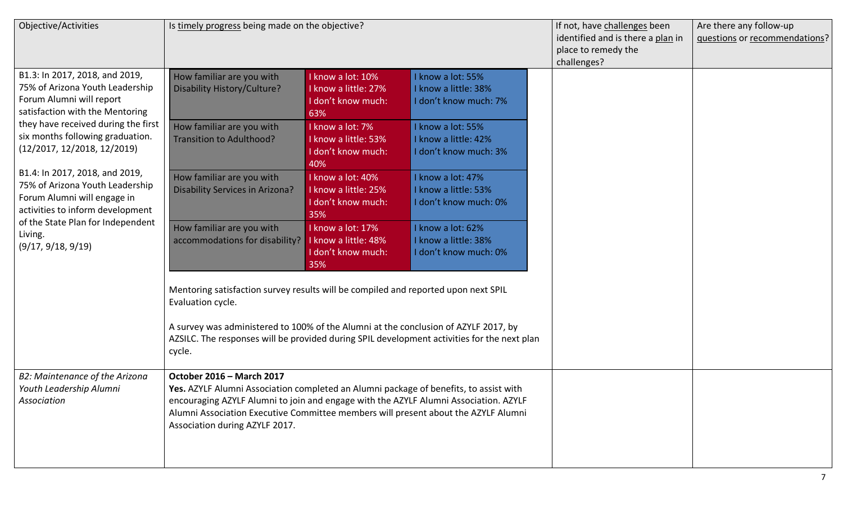| Objective/Activities                                                                                                                                                                                                                                                                                                 | Is timely progress being made on the objective?                                                                                                                                                                                                                                                                                    |                                                                        |                                                                                             | If not, have challenges been<br>identified and is there a plan in<br>place to remedy the<br>challenges? | Are there any follow-up<br>questions or recommendations? |
|----------------------------------------------------------------------------------------------------------------------------------------------------------------------------------------------------------------------------------------------------------------------------------------------------------------------|------------------------------------------------------------------------------------------------------------------------------------------------------------------------------------------------------------------------------------------------------------------------------------------------------------------------------------|------------------------------------------------------------------------|---------------------------------------------------------------------------------------------|---------------------------------------------------------------------------------------------------------|----------------------------------------------------------|
| B1.3: In 2017, 2018, and 2019,<br>75% of Arizona Youth Leadership<br>Forum Alumni will report<br>satisfaction with the Mentoring                                                                                                                                                                                     | How familiar are you with<br>Disability History/Culture?                                                                                                                                                                                                                                                                           | I know a lot: 10%<br>I know a little: 27%<br>I don't know much:<br>63% | I know a lot: 55%<br>I know a little: 38%<br>I don't know much: 7%                          |                                                                                                         |                                                          |
| they have received during the first<br>six months following graduation.<br>(12/2017, 12/2018, 12/2019)<br>B1.4: In 2017, 2018, and 2019,<br>75% of Arizona Youth Leadership<br>Forum Alumni will engage in<br>activities to inform development<br>of the State Plan for Independent<br>Living.<br>(9/17, 9/18, 9/19) | How familiar are you with<br>Transition to Adulthood?                                                                                                                                                                                                                                                                              | I know a lot: 7%<br>I know a little: 53%<br>I don't know much:<br>40%  | I know a lot: 55%<br>I know a little: 42%<br>I don't know much: 3%                          |                                                                                                         |                                                          |
|                                                                                                                                                                                                                                                                                                                      | How familiar are you with<br>Disability Services in Arizona?                                                                                                                                                                                                                                                                       | I know a lot: 40%<br>I know a little: 25%<br>I don't know much:<br>35% | I know a lot: 47%<br>I know a little: 53%<br>I don't know much: 0%                          |                                                                                                         |                                                          |
|                                                                                                                                                                                                                                                                                                                      | How familiar are you with<br>accommodations for disability?   I know a little: 48%                                                                                                                                                                                                                                                 | I know a lot: 17%<br>I don't know much:<br>35%                         | I know a lot: 62%<br>I know a little: 38%<br>I don't know much: 0%                          |                                                                                                         |                                                          |
|                                                                                                                                                                                                                                                                                                                      | Mentoring satisfaction survey results will be compiled and reported upon next SPIL<br>Evaluation cycle.                                                                                                                                                                                                                            |                                                                        |                                                                                             |                                                                                                         |                                                          |
|                                                                                                                                                                                                                                                                                                                      | A survey was administered to 100% of the Alumni at the conclusion of AZYLF 2017, by<br>cycle.                                                                                                                                                                                                                                      |                                                                        | AZSILC. The responses will be provided during SPIL development activities for the next plan |                                                                                                         |                                                          |
| B2: Maintenance of the Arizona<br>Youth Leadership Alumni<br>Association                                                                                                                                                                                                                                             | October 2016 - March 2017<br>Yes. AZYLF Alumni Association completed an Alumni package of benefits, to assist with<br>encouraging AZYLF Alumni to join and engage with the AZYLF Alumni Association. AZYLF<br>Alumni Association Executive Committee members will present about the AZYLF Alumni<br>Association during AZYLF 2017. |                                                                        |                                                                                             |                                                                                                         |                                                          |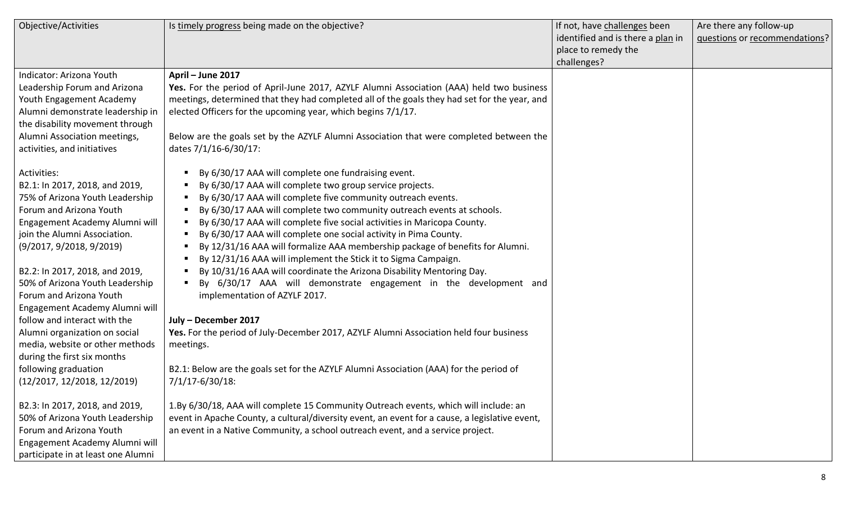| Objective/Activities               | Is timely progress being made on the objective?                                                | If not, have challenges been      | Are there any follow-up       |
|------------------------------------|------------------------------------------------------------------------------------------------|-----------------------------------|-------------------------------|
|                                    |                                                                                                | identified and is there a plan in | questions or recommendations? |
|                                    |                                                                                                | place to remedy the               |                               |
|                                    |                                                                                                | challenges?                       |                               |
| Indicator: Arizona Youth           | April - June 2017                                                                              |                                   |                               |
| Leadership Forum and Arizona       | Yes. For the period of April-June 2017, AZYLF Alumni Association (AAA) held two business       |                                   |                               |
| Youth Engagement Academy           | meetings, determined that they had completed all of the goals they had set for the year, and   |                                   |                               |
| Alumni demonstrate leadership in   | elected Officers for the upcoming year, which begins 7/1/17.                                   |                                   |                               |
| the disability movement through    |                                                                                                |                                   |                               |
| Alumni Association meetings,       | Below are the goals set by the AZYLF Alumni Association that were completed between the        |                                   |                               |
| activities, and initiatives        | dates 7/1/16-6/30/17:                                                                          |                                   |                               |
|                                    |                                                                                                |                                   |                               |
| Activities:                        | By 6/30/17 AAA will complete one fundraising event.                                            |                                   |                               |
| B2.1: In 2017, 2018, and 2019,     | By 6/30/17 AAA will complete two group service projects.                                       |                                   |                               |
| 75% of Arizona Youth Leadership    | By 6/30/17 AAA will complete five community outreach events.                                   |                                   |                               |
| Forum and Arizona Youth            | By 6/30/17 AAA will complete two community outreach events at schools.                         |                                   |                               |
| Engagement Academy Alumni will     | By 6/30/17 AAA will complete five social activities in Maricopa County.                        |                                   |                               |
| join the Alumni Association.       | By 6/30/17 AAA will complete one social activity in Pima County.                               |                                   |                               |
| (9/2017, 9/2018, 9/2019)           | By 12/31/16 AAA will formalize AAA membership package of benefits for Alumni.                  |                                   |                               |
|                                    | By 12/31/16 AAA will implement the Stick it to Sigma Campaign.                                 |                                   |                               |
| B2.2: In 2017, 2018, and 2019,     | By 10/31/16 AAA will coordinate the Arizona Disability Mentoring Day.                          |                                   |                               |
| 50% of Arizona Youth Leadership    | By 6/30/17 AAA will demonstrate engagement in the development and                              |                                   |                               |
| Forum and Arizona Youth            | implementation of AZYLF 2017.                                                                  |                                   |                               |
| Engagement Academy Alumni will     |                                                                                                |                                   |                               |
| follow and interact with the       | July - December 2017                                                                           |                                   |                               |
| Alumni organization on social      | Yes. For the period of July-December 2017, AZYLF Alumni Association held four business         |                                   |                               |
| media, website or other methods    | meetings.                                                                                      |                                   |                               |
| during the first six months        |                                                                                                |                                   |                               |
| following graduation               | B2.1: Below are the goals set for the AZYLF Alumni Association (AAA) for the period of         |                                   |                               |
| (12/2017, 12/2018, 12/2019)        | 7/1/17-6/30/18:                                                                                |                                   |                               |
|                                    |                                                                                                |                                   |                               |
| B2.3: In 2017, 2018, and 2019,     | 1.By 6/30/18, AAA will complete 15 Community Outreach events, which will include: an           |                                   |                               |
| 50% of Arizona Youth Leadership    | event in Apache County, a cultural/diversity event, an event for a cause, a legislative event, |                                   |                               |
| Forum and Arizona Youth            | an event in a Native Community, a school outreach event, and a service project.                |                                   |                               |
| Engagement Academy Alumni will     |                                                                                                |                                   |                               |
| participate in at least one Alumni |                                                                                                |                                   |                               |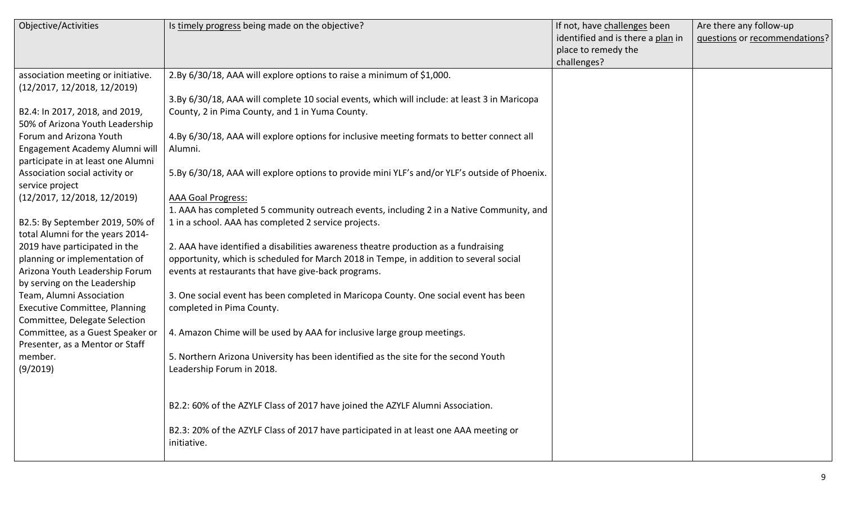| Objective/Activities                 | Is timely progress being made on the objective?                                               | If not, have challenges been      | Are there any follow-up       |
|--------------------------------------|-----------------------------------------------------------------------------------------------|-----------------------------------|-------------------------------|
|                                      |                                                                                               | identified and is there a plan in | questions or recommendations? |
|                                      |                                                                                               | place to remedy the               |                               |
|                                      |                                                                                               | challenges?                       |                               |
| association meeting or initiative.   | 2.By 6/30/18, AAA will explore options to raise a minimum of \$1,000.                         |                                   |                               |
| (12/2017, 12/2018, 12/2019)          |                                                                                               |                                   |                               |
|                                      | 3.By 6/30/18, AAA will complete 10 social events, which will include: at least 3 in Maricopa  |                                   |                               |
| B2.4: In 2017, 2018, and 2019,       | County, 2 in Pima County, and 1 in Yuma County.                                               |                                   |                               |
| 50% of Arizona Youth Leadership      |                                                                                               |                                   |                               |
| Forum and Arizona Youth              | 4.By 6/30/18, AAA will explore options for inclusive meeting formats to better connect all    |                                   |                               |
| Engagement Academy Alumni will       | Alumni.                                                                                       |                                   |                               |
| participate in at least one Alumni   |                                                                                               |                                   |                               |
| Association social activity or       | 5.By 6/30/18, AAA will explore options to provide mini YLF's and/or YLF's outside of Phoenix. |                                   |                               |
| service project                      |                                                                                               |                                   |                               |
| (12/2017, 12/2018, 12/2019)          | <b>AAA Goal Progress:</b>                                                                     |                                   |                               |
|                                      | 1. AAA has completed 5 community outreach events, including 2 in a Native Community, and      |                                   |                               |
| B2.5: By September 2019, 50% of      | 1 in a school. AAA has completed 2 service projects.                                          |                                   |                               |
| total Alumni for the years 2014-     |                                                                                               |                                   |                               |
| 2019 have participated in the        | 2. AAA have identified a disabilities awareness theatre production as a fundraising           |                                   |                               |
| planning or implementation of        | opportunity, which is scheduled for March 2018 in Tempe, in addition to several social        |                                   |                               |
| Arizona Youth Leadership Forum       | events at restaurants that have give-back programs.                                           |                                   |                               |
| by serving on the Leadership         |                                                                                               |                                   |                               |
| Team, Alumni Association             | 3. One social event has been completed in Maricopa County. One social event has been          |                                   |                               |
| <b>Executive Committee, Planning</b> | completed in Pima County.                                                                     |                                   |                               |
| Committee, Delegate Selection        |                                                                                               |                                   |                               |
| Committee, as a Guest Speaker or     | 4. Amazon Chime will be used by AAA for inclusive large group meetings.                       |                                   |                               |
| Presenter, as a Mentor or Staff      |                                                                                               |                                   |                               |
| member.                              | 5. Northern Arizona University has been identified as the site for the second Youth           |                                   |                               |
| (9/2019)                             | Leadership Forum in 2018.                                                                     |                                   |                               |
|                                      |                                                                                               |                                   |                               |
|                                      |                                                                                               |                                   |                               |
|                                      | B2.2: 60% of the AZYLF Class of 2017 have joined the AZYLF Alumni Association.                |                                   |                               |
|                                      |                                                                                               |                                   |                               |
|                                      | B2.3: 20% of the AZYLF Class of 2017 have participated in at least one AAA meeting or         |                                   |                               |
|                                      | initiative.                                                                                   |                                   |                               |
|                                      |                                                                                               |                                   |                               |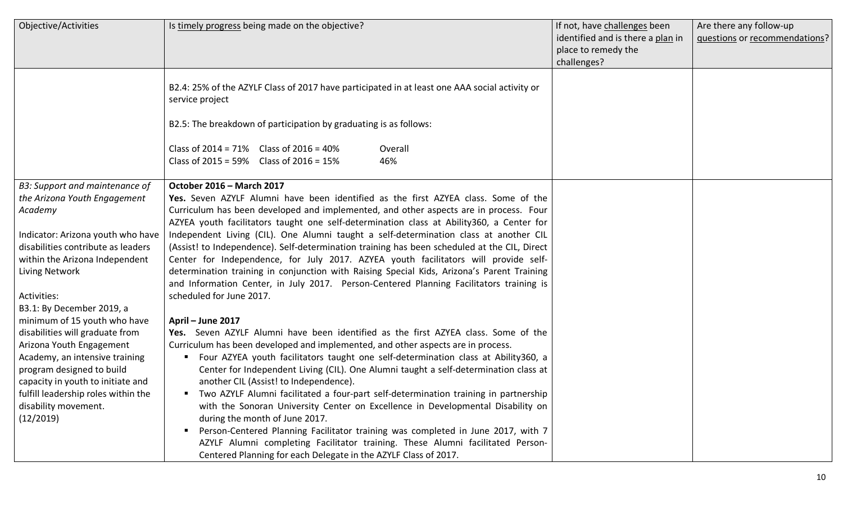| Objective/Activities                | Is timely progress being made on the objective?                                                                  | If not, have challenges been      | Are there any follow-up       |
|-------------------------------------|------------------------------------------------------------------------------------------------------------------|-----------------------------------|-------------------------------|
|                                     |                                                                                                                  | identified and is there a plan in | questions or recommendations? |
|                                     |                                                                                                                  | place to remedy the               |                               |
|                                     |                                                                                                                  | challenges?                       |                               |
|                                     | B2.4: 25% of the AZYLF Class of 2017 have participated in at least one AAA social activity or<br>service project |                                   |                               |
|                                     | B2.5: The breakdown of participation by graduating is as follows:                                                |                                   |                               |
|                                     | Class of $2014 = 71\%$ Class of $2016 = 40\%$<br>Overall<br>Class of 2015 = 59% Class of 2016 = 15%<br>46%       |                                   |                               |
| B3: Support and maintenance of      | October 2016 - March 2017                                                                                        |                                   |                               |
| the Arizona Youth Engagement        | Yes. Seven AZYLF Alumni have been identified as the first AZYEA class. Some of the                               |                                   |                               |
| Academy                             | Curriculum has been developed and implemented, and other aspects are in process. Four                            |                                   |                               |
|                                     | AZYEA youth facilitators taught one self-determination class at Ability360, a Center for                         |                                   |                               |
| Indicator: Arizona youth who have   | Independent Living (CIL). One Alumni taught a self-determination class at another CIL                            |                                   |                               |
| disabilities contribute as leaders  | (Assist! to Independence). Self-determination training has been scheduled at the CIL, Direct                     |                                   |                               |
| within the Arizona Independent      | Center for Independence, for July 2017. AZYEA youth facilitators will provide self-                              |                                   |                               |
| Living Network                      | determination training in conjunction with Raising Special Kids, Arizona's Parent Training                       |                                   |                               |
|                                     | and Information Center, in July 2017. Person-Centered Planning Facilitators training is                          |                                   |                               |
| Activities:                         | scheduled for June 2017.                                                                                         |                                   |                               |
| B3.1: By December 2019, a           |                                                                                                                  |                                   |                               |
| minimum of 15 youth who have        | April - June 2017                                                                                                |                                   |                               |
| disabilities will graduate from     | Yes. Seven AZYLF Alumni have been identified as the first AZYEA class. Some of the                               |                                   |                               |
| Arizona Youth Engagement            | Curriculum has been developed and implemented, and other aspects are in process.                                 |                                   |                               |
| Academy, an intensive training      | Four AZYEA youth facilitators taught one self-determination class at Ability360, a                               |                                   |                               |
| program designed to build           | Center for Independent Living (CIL). One Alumni taught a self-determination class at                             |                                   |                               |
| capacity in youth to initiate and   | another CIL (Assist! to Independence).                                                                           |                                   |                               |
| fulfill leadership roles within the | " Two AZYLF Alumni facilitated a four-part self-determination training in partnership                            |                                   |                               |
| disability movement.                | with the Sonoran University Center on Excellence in Developmental Disability on                                  |                                   |                               |
| (12/2019)                           | during the month of June 2017.                                                                                   |                                   |                               |
|                                     | Person-Centered Planning Facilitator training was completed in June 2017, with 7                                 |                                   |                               |
|                                     | AZYLF Alumni completing Facilitator training. These Alumni facilitated Person-                                   |                                   |                               |
|                                     | Centered Planning for each Delegate in the AZYLF Class of 2017.                                                  |                                   |                               |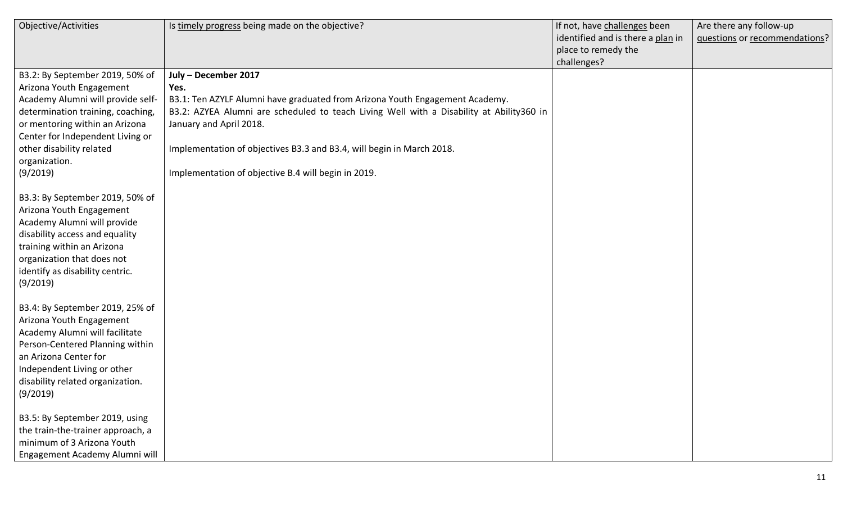| Objective/Activities              | Is timely progress being made on the objective?                                          | If not, have challenges been      | Are there any follow-up       |
|-----------------------------------|------------------------------------------------------------------------------------------|-----------------------------------|-------------------------------|
|                                   |                                                                                          | identified and is there a plan in | questions or recommendations? |
|                                   |                                                                                          | place to remedy the               |                               |
|                                   |                                                                                          | challenges?                       |                               |
| B3.2: By September 2019, 50% of   | July - December 2017                                                                     |                                   |                               |
| Arizona Youth Engagement          | Yes.                                                                                     |                                   |                               |
| Academy Alumni will provide self- | B3.1: Ten AZYLF Alumni have graduated from Arizona Youth Engagement Academy.             |                                   |                               |
| determination training, coaching, | B3.2: AZYEA Alumni are scheduled to teach Living Well with a Disability at Ability360 in |                                   |                               |
| or mentoring within an Arizona    | January and April 2018.                                                                  |                                   |                               |
| Center for Independent Living or  |                                                                                          |                                   |                               |
| other disability related          | Implementation of objectives B3.3 and B3.4, will begin in March 2018.                    |                                   |                               |
| organization.                     |                                                                                          |                                   |                               |
| (9/2019)                          | Implementation of objective B.4 will begin in 2019.                                      |                                   |                               |
|                                   |                                                                                          |                                   |                               |
| B3.3: By September 2019, 50% of   |                                                                                          |                                   |                               |
| Arizona Youth Engagement          |                                                                                          |                                   |                               |
| Academy Alumni will provide       |                                                                                          |                                   |                               |
| disability access and equality    |                                                                                          |                                   |                               |
| training within an Arizona        |                                                                                          |                                   |                               |
| organization that does not        |                                                                                          |                                   |                               |
| identify as disability centric.   |                                                                                          |                                   |                               |
| (9/2019)                          |                                                                                          |                                   |                               |
|                                   |                                                                                          |                                   |                               |
| B3.4: By September 2019, 25% of   |                                                                                          |                                   |                               |
| Arizona Youth Engagement          |                                                                                          |                                   |                               |
| Academy Alumni will facilitate    |                                                                                          |                                   |                               |
| Person-Centered Planning within   |                                                                                          |                                   |                               |
| an Arizona Center for             |                                                                                          |                                   |                               |
| Independent Living or other       |                                                                                          |                                   |                               |
| disability related organization.  |                                                                                          |                                   |                               |
| (9/2019)                          |                                                                                          |                                   |                               |
| B3.5: By September 2019, using    |                                                                                          |                                   |                               |
| the train-the-trainer approach, a |                                                                                          |                                   |                               |
| minimum of 3 Arizona Youth        |                                                                                          |                                   |                               |
| Engagement Academy Alumni will    |                                                                                          |                                   |                               |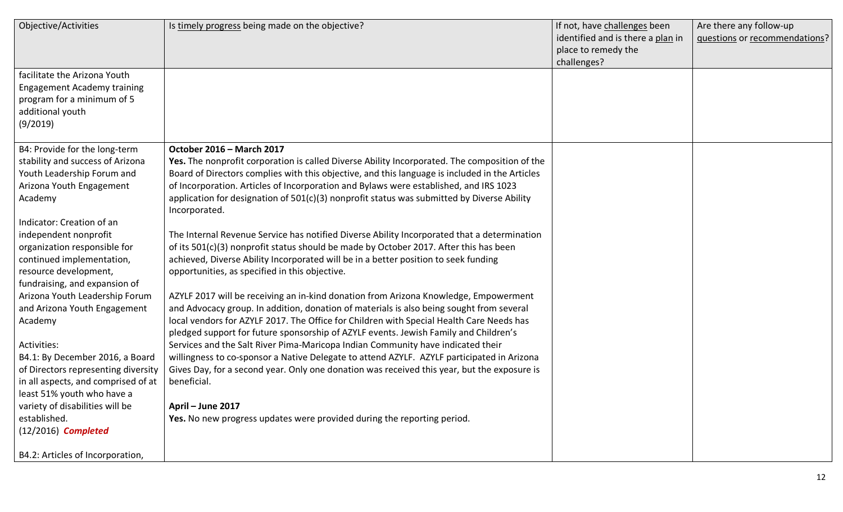| Objective/Activities                | Is timely progress being made on the objective?                                                | If not, have challenges been      | Are there any follow-up       |
|-------------------------------------|------------------------------------------------------------------------------------------------|-----------------------------------|-------------------------------|
|                                     |                                                                                                | identified and is there a plan in | questions or recommendations? |
|                                     |                                                                                                | place to remedy the               |                               |
|                                     |                                                                                                | challenges?                       |                               |
| facilitate the Arizona Youth        |                                                                                                |                                   |                               |
| <b>Engagement Academy training</b>  |                                                                                                |                                   |                               |
| program for a minimum of 5          |                                                                                                |                                   |                               |
| additional youth                    |                                                                                                |                                   |                               |
| (9/2019)                            |                                                                                                |                                   |                               |
|                                     |                                                                                                |                                   |                               |
| B4: Provide for the long-term       | October 2016 - March 2017                                                                      |                                   |                               |
| stability and success of Arizona    | Yes. The nonprofit corporation is called Diverse Ability Incorporated. The composition of the  |                                   |                               |
| Youth Leadership Forum and          | Board of Directors complies with this objective, and this language is included in the Articles |                                   |                               |
| Arizona Youth Engagement            | of Incorporation. Articles of Incorporation and Bylaws were established, and IRS 1023          |                                   |                               |
| Academy                             | application for designation of $501(c)(3)$ nonprofit status was submitted by Diverse Ability   |                                   |                               |
|                                     | Incorporated.                                                                                  |                                   |                               |
| Indicator: Creation of an           |                                                                                                |                                   |                               |
| independent nonprofit               | The Internal Revenue Service has notified Diverse Ability Incorporated that a determination    |                                   |                               |
| organization responsible for        | of its 501(c)(3) nonprofit status should be made by October 2017. After this has been          |                                   |                               |
| continued implementation,           | achieved, Diverse Ability Incorporated will be in a better position to seek funding            |                                   |                               |
| resource development,               | opportunities, as specified in this objective.                                                 |                                   |                               |
| fundraising, and expansion of       |                                                                                                |                                   |                               |
| Arizona Youth Leadership Forum      | AZYLF 2017 will be receiving an in-kind donation from Arizona Knowledge, Empowerment           |                                   |                               |
| and Arizona Youth Engagement        | and Advocacy group. In addition, donation of materials is also being sought from several       |                                   |                               |
| Academy                             | local vendors for AZYLF 2017. The Office for Children with Special Health Care Needs has       |                                   |                               |
|                                     | pledged support for future sponsorship of AZYLF events. Jewish Family and Children's           |                                   |                               |
| Activities:                         | Services and the Salt River Pima-Maricopa Indian Community have indicated their                |                                   |                               |
| B4.1: By December 2016, a Board     | willingness to co-sponsor a Native Delegate to attend AZYLF. AZYLF participated in Arizona     |                                   |                               |
| of Directors representing diversity | Gives Day, for a second year. Only one donation was received this year, but the exposure is    |                                   |                               |
| in all aspects, and comprised of at | beneficial.                                                                                    |                                   |                               |
| least 51% youth who have a          |                                                                                                |                                   |                               |
| variety of disabilities will be     | April - June 2017                                                                              |                                   |                               |
| established.                        | Yes. No new progress updates were provided during the reporting period.                        |                                   |                               |
| $(12/2016)$ Completed               |                                                                                                |                                   |                               |
|                                     |                                                                                                |                                   |                               |
| B4.2: Articles of Incorporation,    |                                                                                                |                                   |                               |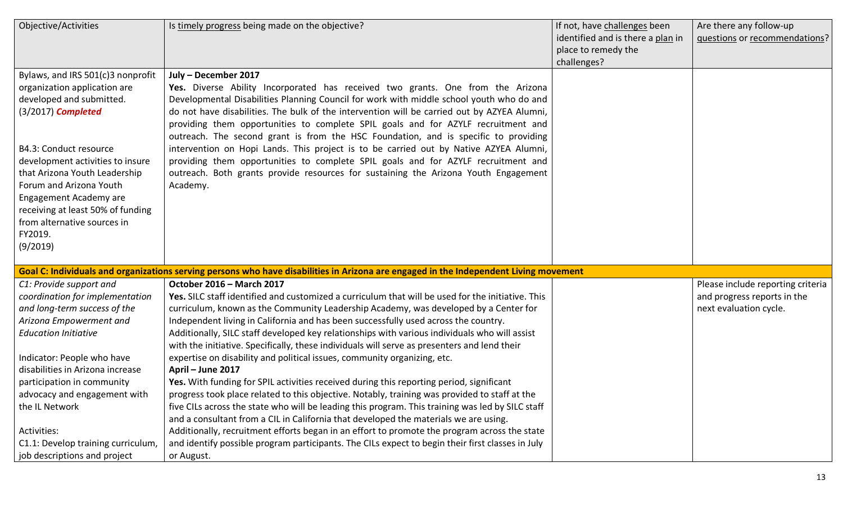| Objective/Activities                                                                                                                                                                                                                                                                                                                                                                        | Is timely progress being made on the objective?                                                                                                                                                                                                                                                                                                                                                                                                                                                                                                                                                                                                                                                                                                                                                                                                                                                                                                                                                                                                                                                                                                                                                                            | If not, have challenges been<br>identified and is there a plan in<br>place to remedy the<br>challenges? | Are there any follow-up<br>questions or recommendations?                                   |
|---------------------------------------------------------------------------------------------------------------------------------------------------------------------------------------------------------------------------------------------------------------------------------------------------------------------------------------------------------------------------------------------|----------------------------------------------------------------------------------------------------------------------------------------------------------------------------------------------------------------------------------------------------------------------------------------------------------------------------------------------------------------------------------------------------------------------------------------------------------------------------------------------------------------------------------------------------------------------------------------------------------------------------------------------------------------------------------------------------------------------------------------------------------------------------------------------------------------------------------------------------------------------------------------------------------------------------------------------------------------------------------------------------------------------------------------------------------------------------------------------------------------------------------------------------------------------------------------------------------------------------|---------------------------------------------------------------------------------------------------------|--------------------------------------------------------------------------------------------|
| Bylaws, and IRS 501(c)3 nonprofit<br>organization application are<br>developed and submitted.<br>$(3/2017)$ Completed<br>B4.3: Conduct resource<br>development activities to insure<br>that Arizona Youth Leadership<br>Forum and Arizona Youth<br>Engagement Academy are<br>receiving at least 50% of funding<br>from alternative sources in<br>FY2019.<br>(9/2019)                        | July - December 2017<br>Yes. Diverse Ability Incorporated has received two grants. One from the Arizona<br>Developmental Disabilities Planning Council for work with middle school youth who do and<br>do not have disabilities. The bulk of the intervention will be carried out by AZYEA Alumni,<br>providing them opportunities to complete SPIL goals and for AZYLF recruitment and<br>outreach. The second grant is from the HSC Foundation, and is specific to providing<br>intervention on Hopi Lands. This project is to be carried out by Native AZYEA Alumni,<br>providing them opportunities to complete SPIL goals and for AZYLF recruitment and<br>outreach. Both grants provide resources for sustaining the Arizona Youth Engagement<br>Academy.                                                                                                                                                                                                                                                                                                                                                                                                                                                            |                                                                                                         |                                                                                            |
|                                                                                                                                                                                                                                                                                                                                                                                             | Goal C: Individuals and organizations serving persons who have disabilities in Arizona are engaged in the Independent Living movement                                                                                                                                                                                                                                                                                                                                                                                                                                                                                                                                                                                                                                                                                                                                                                                                                                                                                                                                                                                                                                                                                      |                                                                                                         |                                                                                            |
| C1: Provide support and<br>coordination for implementation<br>and long-term success of the<br>Arizona Empowerment and<br><b>Education Initiative</b><br>Indicator: People who have<br>disabilities in Arizona increase<br>participation in community<br>advocacy and engagement with<br>the IL Network<br>Activities:<br>C1.1: Develop training curriculum,<br>job descriptions and project | October 2016 - March 2017<br>Yes. SILC staff identified and customized a curriculum that will be used for the initiative. This<br>curriculum, known as the Community Leadership Academy, was developed by a Center for<br>Independent living in California and has been successfully used across the country.<br>Additionally, SILC staff developed key relationships with various individuals who will assist<br>with the initiative. Specifically, these individuals will serve as presenters and lend their<br>expertise on disability and political issues, community organizing, etc.<br>April - June 2017<br>Yes. With funding for SPIL activities received during this reporting period, significant<br>progress took place related to this objective. Notably, training was provided to staff at the<br>five CILs across the state who will be leading this program. This training was led by SILC staff<br>and a consultant from a CIL in California that developed the materials we are using.<br>Additionally, recruitment efforts began in an effort to promote the program across the state<br>and identify possible program participants. The CILs expect to begin their first classes in July<br>or August. |                                                                                                         | Please include reporting criteria<br>and progress reports in the<br>next evaluation cycle. |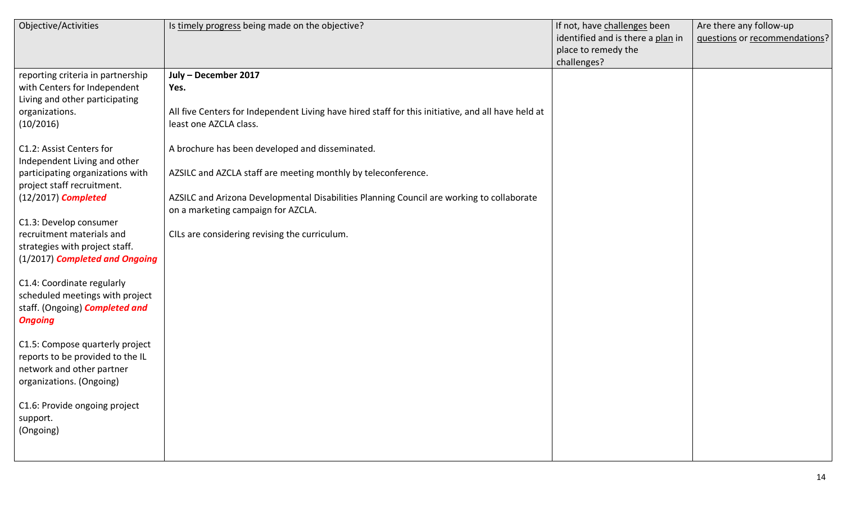| Objective/Activities                                  | Is timely progress being made on the objective?                                                    | If not, have challenges been      | Are there any follow-up       |
|-------------------------------------------------------|----------------------------------------------------------------------------------------------------|-----------------------------------|-------------------------------|
|                                                       |                                                                                                    | identified and is there a plan in | questions or recommendations? |
|                                                       |                                                                                                    | place to remedy the               |                               |
|                                                       |                                                                                                    | challenges?                       |                               |
| reporting criteria in partnership                     | July - December 2017                                                                               |                                   |                               |
| with Centers for Independent                          | Yes.                                                                                               |                                   |                               |
| Living and other participating                        |                                                                                                    |                                   |                               |
| organizations.                                        | All five Centers for Independent Living have hired staff for this initiative, and all have held at |                                   |                               |
| (10/2016)                                             | least one AZCLA class.                                                                             |                                   |                               |
|                                                       |                                                                                                    |                                   |                               |
| C1.2: Assist Centers for                              | A brochure has been developed and disseminated.                                                    |                                   |                               |
| Independent Living and other                          |                                                                                                    |                                   |                               |
| participating organizations with                      | AZSILC and AZCLA staff are meeting monthly by teleconference.                                      |                                   |                               |
| project staff recruitment.                            |                                                                                                    |                                   |                               |
| $(12/2017)$ Completed                                 | AZSILC and Arizona Developmental Disabilities Planning Council are working to collaborate          |                                   |                               |
|                                                       | on a marketing campaign for AZCLA.                                                                 |                                   |                               |
| C1.3: Develop consumer                                |                                                                                                    |                                   |                               |
| recruitment materials and                             | CILs are considering revising the curriculum.                                                      |                                   |                               |
| strategies with project staff.                        |                                                                                                    |                                   |                               |
| (1/2017) Completed and Ongoing                        |                                                                                                    |                                   |                               |
|                                                       |                                                                                                    |                                   |                               |
| C1.4: Coordinate regularly                            |                                                                                                    |                                   |                               |
| scheduled meetings with project                       |                                                                                                    |                                   |                               |
| staff. (Ongoing) <b>Completed and</b>                 |                                                                                                    |                                   |                               |
| <b>Ongoing</b>                                        |                                                                                                    |                                   |                               |
|                                                       |                                                                                                    |                                   |                               |
| C1.5: Compose quarterly project                       |                                                                                                    |                                   |                               |
| reports to be provided to the IL                      |                                                                                                    |                                   |                               |
| network and other partner<br>organizations. (Ongoing) |                                                                                                    |                                   |                               |
|                                                       |                                                                                                    |                                   |                               |
| C1.6: Provide ongoing project                         |                                                                                                    |                                   |                               |
| support.                                              |                                                                                                    |                                   |                               |
| (Ongoing)                                             |                                                                                                    |                                   |                               |
|                                                       |                                                                                                    |                                   |                               |
|                                                       |                                                                                                    |                                   |                               |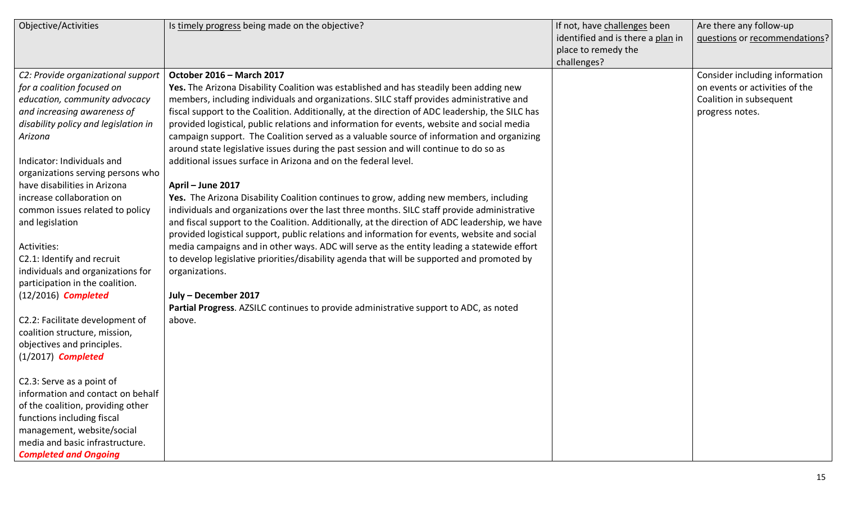| Objective/Activities                                                                                                                                                                                                                                                                                                                                                                                                                                                                                                                                                                                                                                                                                                                                                                                                 | Is timely progress being made on the objective?                                                                                                                                                                                                                                                                                                                                                                                                                                                                                                                                                                                                                                                                                                                                                                                                                                                                                                                                                                                                                                                                                                                                                                                                                                                                                                                                                                                   | If not, have challenges been<br>identified and is there a plan in<br>place to remedy the<br>challenges? | Are there any follow-up<br>questions or recommendations?                                                       |
|----------------------------------------------------------------------------------------------------------------------------------------------------------------------------------------------------------------------------------------------------------------------------------------------------------------------------------------------------------------------------------------------------------------------------------------------------------------------------------------------------------------------------------------------------------------------------------------------------------------------------------------------------------------------------------------------------------------------------------------------------------------------------------------------------------------------|-----------------------------------------------------------------------------------------------------------------------------------------------------------------------------------------------------------------------------------------------------------------------------------------------------------------------------------------------------------------------------------------------------------------------------------------------------------------------------------------------------------------------------------------------------------------------------------------------------------------------------------------------------------------------------------------------------------------------------------------------------------------------------------------------------------------------------------------------------------------------------------------------------------------------------------------------------------------------------------------------------------------------------------------------------------------------------------------------------------------------------------------------------------------------------------------------------------------------------------------------------------------------------------------------------------------------------------------------------------------------------------------------------------------------------------|---------------------------------------------------------------------------------------------------------|----------------------------------------------------------------------------------------------------------------|
| C2: Provide organizational support<br>for a coalition focused on<br>education, community advocacy<br>and increasing awareness of<br>disability policy and legislation in<br>Arizona<br>Indicator: Individuals and<br>organizations serving persons who<br>have disabilities in Arizona<br>increase collaboration on<br>common issues related to policy<br>and legislation<br>Activities:<br>C2.1: Identify and recruit<br>individuals and organizations for<br>participation in the coalition.<br>$(12/2016)$ Completed<br>C2.2: Facilitate development of<br>coalition structure, mission,<br>objectives and principles.<br>$(1/2017)$ Completed<br>C2.3: Serve as a point of<br>information and contact on behalf<br>of the coalition, providing other<br>functions including fiscal<br>management, website/social | October 2016 - March 2017<br>Yes. The Arizona Disability Coalition was established and has steadily been adding new<br>members, including individuals and organizations. SILC staff provides administrative and<br>fiscal support to the Coalition. Additionally, at the direction of ADC leadership, the SILC has<br>provided logistical, public relations and information for events, website and social media<br>campaign support. The Coalition served as a valuable source of information and organizing<br>around state legislative issues during the past session and will continue to do so as<br>additional issues surface in Arizona and on the federal level.<br>April - June 2017<br>Yes. The Arizona Disability Coalition continues to grow, adding new members, including<br>individuals and organizations over the last three months. SILC staff provide administrative<br>and fiscal support to the Coalition. Additionally, at the direction of ADC leadership, we have<br>provided logistical support, public relations and information for events, website and social<br>media campaigns and in other ways. ADC will serve as the entity leading a statewide effort<br>to develop legislative priorities/disability agenda that will be supported and promoted by<br>organizations.<br>July - December 2017<br>Partial Progress. AZSILC continues to provide administrative support to ADC, as noted<br>above. |                                                                                                         | Consider including information<br>on events or activities of the<br>Coalition in subsequent<br>progress notes. |
| media and basic infrastructure.<br><b>Completed and Ongoing</b>                                                                                                                                                                                                                                                                                                                                                                                                                                                                                                                                                                                                                                                                                                                                                      |                                                                                                                                                                                                                                                                                                                                                                                                                                                                                                                                                                                                                                                                                                                                                                                                                                                                                                                                                                                                                                                                                                                                                                                                                                                                                                                                                                                                                                   |                                                                                                         |                                                                                                                |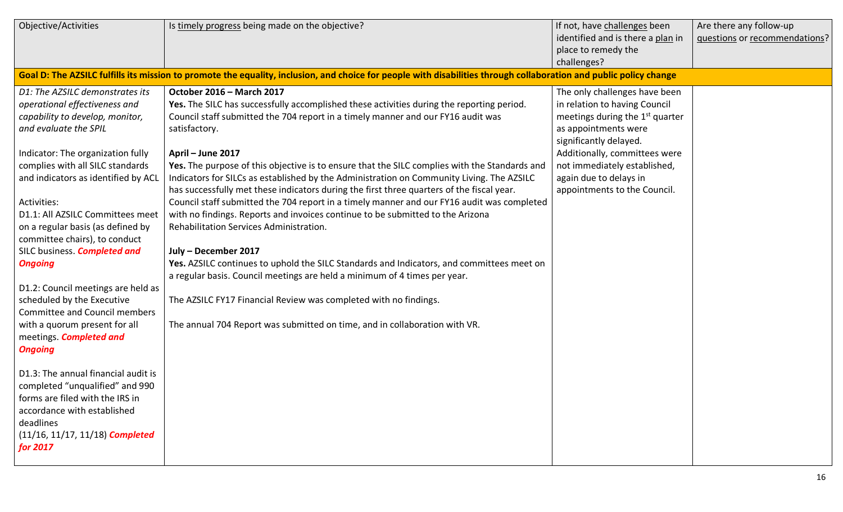| Objective/Activities                 | Is timely progress being made on the objective?                                                                                                                    | If not, have challenges been                | Are there any follow-up       |
|--------------------------------------|--------------------------------------------------------------------------------------------------------------------------------------------------------------------|---------------------------------------------|-------------------------------|
|                                      |                                                                                                                                                                    | identified and is there a plan in           | questions or recommendations? |
|                                      |                                                                                                                                                                    | place to remedy the                         |                               |
|                                      |                                                                                                                                                                    | challenges?                                 |                               |
|                                      | Goal D: The AZSILC fulfills its mission to promote the equality, inclusion, and choice for people with disabilities through collaboration and public policy change |                                             |                               |
| D1: The AZSILC demonstrates its      | October 2016 - March 2017                                                                                                                                          | The only challenges have been               |                               |
| operational effectiveness and        | Yes. The SILC has successfully accomplished these activities during the reporting period.                                                                          | in relation to having Council               |                               |
| capability to develop, monitor,      | Council staff submitted the 704 report in a timely manner and our FY16 audit was                                                                                   | meetings during the 1 <sup>st</sup> quarter |                               |
| and evaluate the SPIL                | satisfactory.                                                                                                                                                      | as appointments were                        |                               |
|                                      |                                                                                                                                                                    | significantly delayed.                      |                               |
| Indicator: The organization fully    | April - June 2017                                                                                                                                                  | Additionally, committees were               |                               |
| complies with all SILC standards     | Yes. The purpose of this objective is to ensure that the SILC complies with the Standards and                                                                      | not immediately established,                |                               |
| and indicators as identified by ACL  | Indicators for SILCs as established by the Administration on Community Living. The AZSILC                                                                          | again due to delays in                      |                               |
|                                      | has successfully met these indicators during the first three quarters of the fiscal year.                                                                          | appointments to the Council.                |                               |
| Activities:                          | Council staff submitted the 704 report in a timely manner and our FY16 audit was completed                                                                         |                                             |                               |
| D1.1: All AZSILC Committees meet     | with no findings. Reports and invoices continue to be submitted to the Arizona                                                                                     |                                             |                               |
| on a regular basis (as defined by    | Rehabilitation Services Administration.                                                                                                                            |                                             |                               |
| committee chairs), to conduct        |                                                                                                                                                                    |                                             |                               |
| SILC business. <b>Completed and</b>  | July - December 2017                                                                                                                                               |                                             |                               |
| <b>Ongoing</b>                       | Yes. AZSILC continues to uphold the SILC Standards and Indicators, and committees meet on                                                                          |                                             |                               |
| D1.2: Council meetings are held as   | a regular basis. Council meetings are held a minimum of 4 times per year.                                                                                          |                                             |                               |
| scheduled by the Executive           | The AZSILC FY17 Financial Review was completed with no findings.                                                                                                   |                                             |                               |
| <b>Committee and Council members</b> |                                                                                                                                                                    |                                             |                               |
| with a quorum present for all        | The annual 704 Report was submitted on time, and in collaboration with VR.                                                                                         |                                             |                               |
| meetings. <b>Completed and</b>       |                                                                                                                                                                    |                                             |                               |
| <b>Ongoing</b>                       |                                                                                                                                                                    |                                             |                               |
|                                      |                                                                                                                                                                    |                                             |                               |
| D1.3: The annual financial audit is  |                                                                                                                                                                    |                                             |                               |
| completed "unqualified" and 990      |                                                                                                                                                                    |                                             |                               |
| forms are filed with the IRS in      |                                                                                                                                                                    |                                             |                               |
| accordance with established          |                                                                                                                                                                    |                                             |                               |
| deadlines                            |                                                                                                                                                                    |                                             |                               |
| $(11/16, 11/17, 11/18)$ Completed    |                                                                                                                                                                    |                                             |                               |
| for 2017                             |                                                                                                                                                                    |                                             |                               |
|                                      |                                                                                                                                                                    |                                             |                               |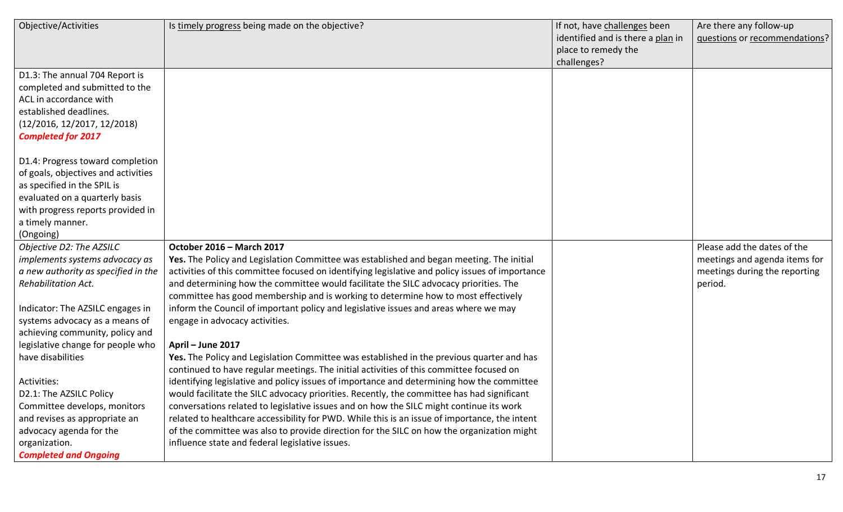| Objective/Activities                | Is timely progress being made on the objective?                                                 | If not, have challenges been      | Are there any follow-up       |
|-------------------------------------|-------------------------------------------------------------------------------------------------|-----------------------------------|-------------------------------|
|                                     |                                                                                                 | identified and is there a plan in | questions or recommendations? |
|                                     |                                                                                                 | place to remedy the               |                               |
|                                     |                                                                                                 | challenges?                       |                               |
| D1.3: The annual 704 Report is      |                                                                                                 |                                   |                               |
| completed and submitted to the      |                                                                                                 |                                   |                               |
| ACL in accordance with              |                                                                                                 |                                   |                               |
| established deadlines.              |                                                                                                 |                                   |                               |
| (12/2016, 12/2017, 12/2018)         |                                                                                                 |                                   |                               |
| <b>Completed for 2017</b>           |                                                                                                 |                                   |                               |
| D1.4: Progress toward completion    |                                                                                                 |                                   |                               |
| of goals, objectives and activities |                                                                                                 |                                   |                               |
| as specified in the SPIL is         |                                                                                                 |                                   |                               |
| evaluated on a quarterly basis      |                                                                                                 |                                   |                               |
| with progress reports provided in   |                                                                                                 |                                   |                               |
| a timely manner.                    |                                                                                                 |                                   |                               |
| (Ongoing)                           |                                                                                                 |                                   |                               |
| Objective D2: The AZSILC            | October 2016 - March 2017                                                                       |                                   | Please add the dates of the   |
| implements systems advocacy as      | Yes. The Policy and Legislation Committee was established and began meeting. The initial        |                                   | meetings and agenda items for |
| a new authority as specified in the | activities of this committee focused on identifying legislative and policy issues of importance |                                   | meetings during the reporting |
| <b>Rehabilitation Act.</b>          | and determining how the committee would facilitate the SILC advocacy priorities. The            |                                   | period.                       |
|                                     | committee has good membership and is working to determine how to most effectively               |                                   |                               |
| Indicator: The AZSILC engages in    | inform the Council of important policy and legislative issues and areas where we may            |                                   |                               |
| systems advocacy as a means of      | engage in advocacy activities.                                                                  |                                   |                               |
| achieving community, policy and     |                                                                                                 |                                   |                               |
| legislative change for people who   | April - June 2017                                                                               |                                   |                               |
| have disabilities                   | Yes. The Policy and Legislation Committee was established in the previous quarter and has       |                                   |                               |
|                                     | continued to have regular meetings. The initial activities of this committee focused on         |                                   |                               |
| Activities:                         | identifying legislative and policy issues of importance and determining how the committee       |                                   |                               |
| D2.1: The AZSILC Policy             | would facilitate the SILC advocacy priorities. Recently, the committee has had significant      |                                   |                               |
| Committee develops, monitors        | conversations related to legislative issues and on how the SILC might continue its work         |                                   |                               |
| and revises as appropriate an       | related to healthcare accessibility for PWD. While this is an issue of importance, the intent   |                                   |                               |
| advocacy agenda for the             | of the committee was also to provide direction for the SILC on how the organization might       |                                   |                               |
| organization.                       | influence state and federal legislative issues.                                                 |                                   |                               |
| <b>Completed and Ongoing</b>        |                                                                                                 |                                   |                               |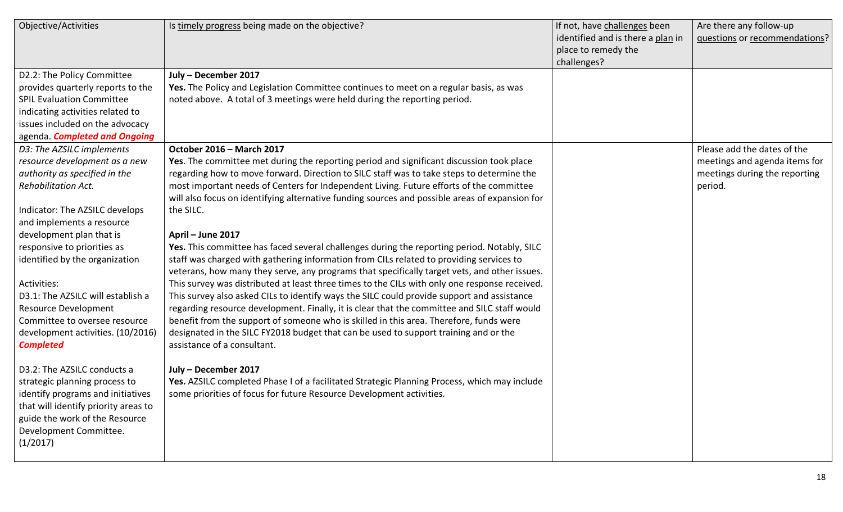| Objective/Activities                 | Is timely progress being made on the objective?                                                | If not, have challenges been      | Are there any follow-up       |
|--------------------------------------|------------------------------------------------------------------------------------------------|-----------------------------------|-------------------------------|
|                                      |                                                                                                | identified and is there a plan in | questions or recommendations? |
|                                      |                                                                                                | place to remedy the               |                               |
|                                      |                                                                                                | challenges?                       |                               |
| D2.2: The Policy Committee           | July - December 2017                                                                           |                                   |                               |
| provides quarterly reports to the    | Yes. The Policy and Legislation Committee continues to meet on a regular basis, as was         |                                   |                               |
| <b>SPIL Evaluation Committee</b>     | noted above. A total of 3 meetings were held during the reporting period.                      |                                   |                               |
| indicating activities related to     |                                                                                                |                                   |                               |
| issues included on the advocacy      |                                                                                                |                                   |                               |
| agenda. Completed and Ongoing        |                                                                                                |                                   |                               |
| D3: The AZSILC implements            | October 2016 - March 2017                                                                      |                                   | Please add the dates of the   |
| resource development as a new        | Yes. The committee met during the reporting period and significant discussion took place       |                                   | meetings and agenda items for |
| authority as specified in the        | regarding how to move forward. Direction to SILC staff was to take steps to determine the      |                                   | meetings during the reporting |
| <b>Rehabilitation Act.</b>           | most important needs of Centers for Independent Living. Future efforts of the committee        |                                   | period.                       |
|                                      | will also focus on identifying alternative funding sources and possible areas of expansion for |                                   |                               |
| Indicator: The AZSILC develops       | the SILC.                                                                                      |                                   |                               |
| and implements a resource            |                                                                                                |                                   |                               |
| development plan that is             | April - June 2017                                                                              |                                   |                               |
| responsive to priorities as          | Yes. This committee has faced several challenges during the reporting period. Notably, SILC    |                                   |                               |
| identified by the organization       | staff was charged with gathering information from CILs related to providing services to        |                                   |                               |
|                                      | veterans, how many they serve, any programs that specifically target vets, and other issues.   |                                   |                               |
| Activities:                          | This survey was distributed at least three times to the CILs with only one response received.  |                                   |                               |
| D3.1: The AZSILC will establish a    | This survey also asked CILs to identify ways the SILC could provide support and assistance     |                                   |                               |
| <b>Resource Development</b>          | regarding resource development. Finally, it is clear that the committee and SILC staff would   |                                   |                               |
| Committee to oversee resource        | benefit from the support of someone who is skilled in this area. Therefore, funds were         |                                   |                               |
| development activities. (10/2016)    | designated in the SILC FY2018 budget that can be used to support training and or the           |                                   |                               |
| <b>Completed</b>                     | assistance of a consultant.                                                                    |                                   |                               |
|                                      |                                                                                                |                                   |                               |
| D3.2: The AZSILC conducts a          | July - December 2017                                                                           |                                   |                               |
| strategic planning process to        | Yes. AZSILC completed Phase I of a facilitated Strategic Planning Process, which may include   |                                   |                               |
| identify programs and initiatives    | some priorities of focus for future Resource Development activities.                           |                                   |                               |
| that will identify priority areas to |                                                                                                |                                   |                               |
| guide the work of the Resource       |                                                                                                |                                   |                               |
| Development Committee.               |                                                                                                |                                   |                               |
| (1/2017)                             |                                                                                                |                                   |                               |
|                                      |                                                                                                |                                   |                               |